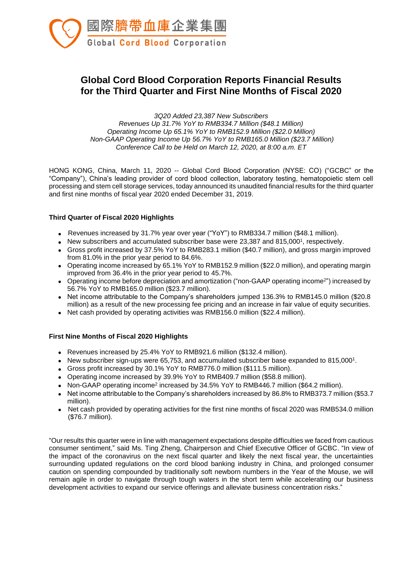

# **Global Cord Blood Corporation Reports Financial Results for the Third Quarter and First Nine Months of Fiscal 2020**

*3Q20 Added 23,387 New Subscribers Revenues Up 31.7% YoY to RMB334.7 Million (\$48.1 Million) Operating Income Up 65.1% YoY to RMB152.9 Million (\$22.0 Million) Non-GAAP Operating Income Up 56.7% YoY to RMB165.0 Million (\$23.7 Million) Conference Call to be Held on March 12, 2020, at 8:00 a.m. ET*

HONG KONG, China, March 11, 2020 -- Global Cord Blood Corporation (NYSE: CO) ("GCBC" or the "Company"), China's leading provider of cord blood collection, laboratory testing, hematopoietic stem cell processing and stem cell storage services, today announced its unaudited financial results for the third quarter and first nine months of fiscal year 2020 ended December 31, 2019.

# **Third Quarter of Fiscal 2020 Highlights**

- Revenues increased by 31.7% year over year ("YoY") to RMB334.7 million (\$48.1 million).
- New subscribers and accumulated subscriber base were 23,387 and 815,000<sup>1</sup>, respectively.
- Gross profit increased by 37.5% YoY to RMB283.1 million (\$40.7 million), and gross margin improved from 81.0% in the prior year period to 84.6%.
- Operating income increased by 65.1% YoY to RMB152.9 million (\$22.0 million), and operating margin improved from 36.4% in the prior year period to 45.7%.
- Operating income before depreciation and amortization ("non-GAAP operating income<sup>2</sup>") increased by 56.7% YoY to RMB165.0 million (\$23.7 million).
- Net income attributable to the Company's shareholders jumped 136.3% to RMB145.0 million (\$20.8 million) as a result of the new processing fee pricing and an increase in fair value of equity securities.
- Net cash provided by operating activities was RMB156.0 million (\$22.4 million).

### **First Nine Months of Fiscal 2020 Highlights**

- Revenues increased by 25.4% YoY to RMB921.6 million (\$132.4 million).
- New subscriber sign-ups were 65,753, and accumulated subscriber base expanded to 815,000<sup>1</sup> .
- Gross profit increased by 30.1% YoY to RMB776.0 million (\$111.5 million).
- Operating income increased by 39.9% YoY to RMB409.7 million (\$58.8 million).
- Non-GAAP operating income<sup>2</sup> increased by 34.5% YoY to RMB446.7 million (\$64.2 million).
- Net income attributable to the Company's shareholders increased by 86.8% to RMB373.7 million (\$53.7 million).
- Net cash provided by operating activities for the first nine months of fiscal 2020 was RMB534.0 million (\$76.7 million).

"Our results this quarter were in line with management expectations despite difficulties we faced from cautious consumer sentiment," said Ms. Ting Zheng, Chairperson and Chief Executive Officer of GCBC. "In view of the impact of the coronavirus on the next fiscal quarter and likely the next fiscal year, the uncertainties surrounding updated regulations on the cord blood banking industry in China, and prolonged consumer caution on spending compounded by traditionally soft newborn numbers in the Year of the Mouse, we will remain agile in order to navigate through tough waters in the short term while accelerating our business development activities to expand our service offerings and alleviate business concentration risks."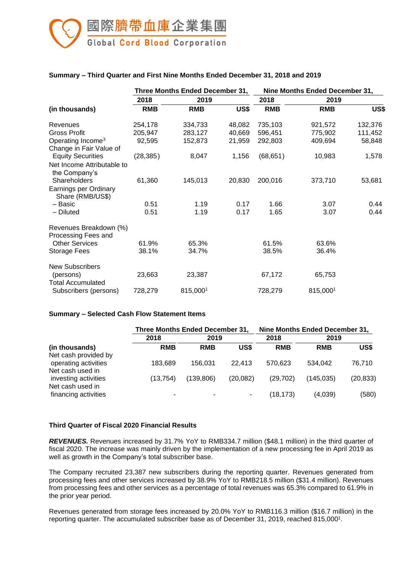|                                                          | Three Months Ended December 31, |            |             | Nine Months Ended December 31, |            |         |
|----------------------------------------------------------|---------------------------------|------------|-------------|--------------------------------|------------|---------|
|                                                          | 2018                            | 2019       |             | 2018                           | 2019       |         |
| (in thousands)                                           | <b>RMB</b>                      | <b>RMB</b> | <b>US\$</b> | <b>RMB</b>                     | <b>RMB</b> | US\$    |
| Revenues                                                 | 254,178                         | 334,733    | 48,082      | 735,103                        | 921,572    | 132,376 |
| Gross Profit                                             | 205,947                         | 283,127    | 40,669      | 596,451                        | 775,902    | 111,452 |
| Operating Income <sup>3</sup><br>Change in Fair Value of | 92,595                          | 152,873    | 21,959      | 292,803                        | 409,694    | 58,848  |
| <b>Equity Securities</b>                                 | (28, 385)                       | 8,047      | 1,156       | (68, 651)                      | 10,983     | 1,578   |
| Net Income Attributable to<br>the Company's              |                                 |            |             |                                |            |         |
| Shareholders                                             | 61,360                          | 145,013    | 20,830      | 200,016                        | 373,710    | 53,681  |
| Earnings per Ordinary<br>Share (RMB/US\$)                |                                 |            |             |                                |            |         |
| – Basic                                                  | 0.51                            | 1.19       | 0.17        | 1.66                           | 3.07       | 0.44    |
| - Diluted                                                | 0.51                            | 1.19       | 0.17        | 1.65                           | 3.07       | 0.44    |
| Revenues Breakdown (%)<br>Processing Fees and            |                                 |            |             |                                |            |         |
| <b>Other Services</b>                                    | 61.9%                           | 65.3%      |             | 61.5%                          | 63.6%      |         |
| Storage Fees                                             | 38.1%                           | 34.7%      |             | 38.5%                          | 36.4%      |         |
| <b>New Subscribers</b>                                   |                                 |            |             |                                |            |         |
| (persons)                                                | 23,663                          | 23,387     |             | 67,172                         | 65,753     |         |
| <b>Total Accumulated</b><br>Subscribers (persons)        | 728,279                         | 815,0001   |             | 728,279                        | 815,0001   |         |

# **Summary – Third Quarter and First Nine Months Ended December 31, 2018 and 2019**

# **Summary – Selected Cash Flow Statement Items**

|                                                                  | Three Months Ended December 31, |            |           | Nine Months Ended December 31, |            |           |  |
|------------------------------------------------------------------|---------------------------------|------------|-----------|--------------------------------|------------|-----------|--|
| (in thousands)                                                   | 2018                            | 2019       |           | 2018                           | 2019       |           |  |
|                                                                  | <b>RMB</b>                      | <b>RMB</b> | US\$      | <b>RMB</b>                     | <b>RMB</b> | US\$      |  |
| Net cash provided by<br>operating activities<br>Net cash used in | 183,689                         | 156.031    | 22.413    | 570.623                        | 534.042    | 76,710    |  |
| investing activities<br>Net cash used in                         | (13, 754)                       | (139, 806) | (20, 082) | (29, 702)                      | (145.035)  | (20, 833) |  |
| financing activities                                             |                                 |            | ۰         | (18, 173)                      | (4,039)    | (580)     |  |

### **Third Quarter of Fiscal 2020 Financial Results**

*REVENUES.* Revenues increased by 31.7% YoY to RMB334.7 million (\$48.1 million) in the third quarter of fiscal 2020. The increase was mainly driven by the implementation of a new processing fee in April 2019 as well as growth in the Company's total subscriber base.

The Company recruited 23,387 new subscribers during the reporting quarter. Revenues generated from processing fees and other services increased by 38.9% YoY to RMB218.5 million (\$31.4 million). Revenues from processing fees and other services as a percentage of total revenues was 65.3% compared to 61.9% in the prior year period.

Revenues generated from storage fees increased by 20.0% YoY to RMB116.3 million (\$16.7 million) in the reporting quarter. The accumulated subscriber base as of December 31, 2019, reached 815,000<sup>1</sup>.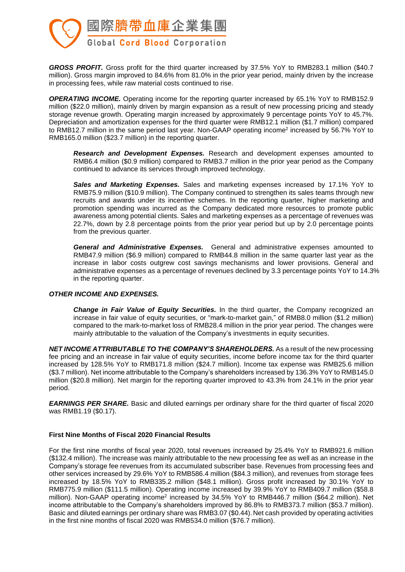

*GROSS PROFIT.* Gross profit for the third quarter increased by 37.5% YoY to RMB283.1 million (\$40.7 million). Gross margin improved to 84.6% from 81.0% in the prior year period, mainly driven by the increase in processing fees, while raw material costs continued to rise.

*OPERATING INCOME.* Operating income for the reporting quarter increased by 65.1% YoY to RMB152.9 million (\$22.0 million), mainly driven by margin expansion as a result of new processing pricing and steady storage revenue growth. Operating margin increased by approximately 9 percentage points YoY to 45.7%. Depreciation and amortization expenses for the third quarter were RMB12.1 million (\$1.7 million) compared to RMB12.7 million in the same period last year. Non-GAAP operating income<sup>2</sup> increased by 56.7% YoY to RMB165.0 million (\$23.7 million) in the reporting quarter.

*Research and Development Expenses.* Research and development expenses amounted to RMB6.4 million (\$0.9 million) compared to RMB3.7 million in the prior year period as the Company continued to advance its services through improved technology.

*Sales and Marketing Expenses.* Sales and marketing expenses increased by 17.1% YoY to RMB75.9 million (\$10.9 million). The Company continued to strengthen its sales teams through new recruits and awards under its incentive schemes. In the reporting quarter, higher marketing and promotion spending was incurred as the Company dedicated more resources to promote public awareness among potential clients. Sales and marketing expenses as a percentage of revenues was 22.7%, down by 2.8 percentage points from the prior year period but up by 2.0 percentage points from the previous quarter.

*General and Administrative Expenses.* General and administrative expenses amounted to RMB47.9 million (\$6.9 million) compared to RMB44.8 million in the same quarter last year as the increase in labor costs outgrew cost savings mechanisms and lower provisions. General and administrative expenses as a percentage of revenues declined by 3.3 percentage points YoY to 14.3% in the reporting quarter.

#### *OTHER INCOME AND EXPENSES.*

*Change in Fair Value of Equity Securities.* In the third quarter, the Company recognized an increase in fair value of equity securities, or "mark-to-market gain," of RMB8.0 million (\$1.2 million) compared to the mark-to-market loss of RMB28.4 million in the prior year period. The changes were mainly attributable to the valuation of the Company's investments in equity securities.

*NET INCOME ATTRIBUTABLE TO THE COMPANY'S SHAREHOLDERS.* As a result of the new processing fee pricing and an increase in fair value of equity securities, income before income tax for the third quarter increased by 128.5% YoY to RMB171.8 million (\$24.7 million). Income tax expense was RMB25.6 million (\$3.7 million). Net income attributable to the Company's shareholders increased by 136.3% YoY to RMB145.0 million (\$20.8 million). Net margin for the reporting quarter improved to 43.3% from 24.1% in the prior year period.

*EARNINGS PER SHARE.* Basic and diluted earnings per ordinary share for the third quarter of fiscal 2020 was RMB1.19 (\$0.17).

#### **First Nine Months of Fiscal 2020 Financial Results**

For the first nine months of fiscal year 2020, total revenues increased by 25.4% YoY to RMB921.6 million (\$132.4 million). The increase was mainly attributable to the new processing fee as well as an increase in the Company's storage fee revenues from its accumulated subscriber base. Revenues from processing fees and other services increased by 29.6% YoY to RMB586.4 million (\$84.3 million), and revenues from storage fees increased by 18.5% YoY to RMB335.2 million (\$48.1 million). Gross profit increased by 30.1% YoY to RMB775.9 million (\$111.5 million). Operating income increased by 39.9% YoY to RMB409.7 million (\$58.8 million). Non-GAAP operating income<sup>2</sup> increased by 34.5% YoY to RMB446.7 million (\$64.2 million). Net income attributable to the Company's shareholders improved by 86.8% to RMB373.7 million (\$53.7 million). Basic and diluted earnings per ordinary share was RMB3.07 (\$0.44). Net cash provided by operating activities in the first nine months of fiscal 2020 was RMB534.0 million (\$76.7 million).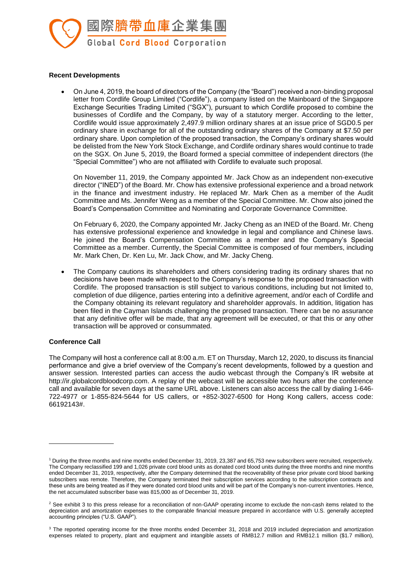

#### **Recent Developments**

• On June 4, 2019, the board of directors of the Company (the "Board") received a non-binding proposal letter from Cordlife Group Limited ("Cordlife"), a company listed on the Mainboard of the Singapore Exchange Securities Trading Limited ("SGX"), pursuant to which Cordlife proposed to combine the businesses of Cordlife and the Company, by way of a statutory merger. According to the letter, Cordlife would issue approximately 2,497.9 million ordinary shares at an issue price of SGD0.5 per ordinary share in exchange for all of the outstanding ordinary shares of the Company at \$7.50 per ordinary share. Upon completion of the proposed transaction, the Company's ordinary shares would be delisted from the New York Stock Exchange, and Cordlife ordinary shares would continue to trade on the SGX. On June 5, 2019, the Board formed a special committee of independent directors (the "Special Committee") who are not affiliated with Cordlife to evaluate such proposal.

On November 11, 2019, the Company appointed Mr. Jack Chow as an independent non-executive director ("INED") of the Board. Mr. Chow has extensive professional experience and a broad network in the finance and investment industry. He replaced Mr. Mark Chen as a member of the Audit Committee and Ms. Jennifer Weng as a member of the Special Committee. Mr. Chow also joined the Board's Compensation Committee and Nominating and Corporate Governance Committee.

On February 6, 2020, the Company appointed Mr. Jacky Cheng as an INED of the Board. Mr. Cheng has extensive professional experience and knowledge in legal and compliance and Chinese laws. He joined the Board's Compensation Committee as a member and the Company's Special Committee as a member. Currently, the Special Committee is composed of four members, including Mr. Mark Chen, Dr. Ken Lu, Mr. Jack Chow, and Mr. Jacky Cheng.

• The Company cautions its shareholders and others considering trading its ordinary shares that no decisions have been made with respect to the Company's response to the proposed transaction with Cordlife. The proposed transaction is still subject to various conditions, including but not limited to, completion of due diligence, parties entering into a definitive agreement, and/or each of Cordlife and the Company obtaining its relevant regulatory and shareholder approvals. In addition, litigation has been filed in the Cayman Islands challenging the proposed transaction. There can be no assurance that any definitive offer will be made, that any agreement will be executed, or that this or any other transaction will be approved or consummated.

### **Conference Call**

The Company will host a conference call at 8:00 a.m. ET on Thursday, March 12, 2020, to discuss its financial performance and give a brief overview of the Company's recent developments, followed by a question and answer session. Interested parties can access the audio webcast through the Company's IR website at http://ir.globalcordbloodcorp.com. A replay of the webcast will be accessible two hours after the conference call and available for seven days at the same URL above. Listeners can also access the call by dialing 1-646- 722-4977 or 1-855-824-5644 for US callers, or +852-3027-6500 for Hong Kong callers, access code: 66192143#.

<sup>1</sup> During the three months and nine months ended December 31, 2019, 23,387 and 65,753 new subscribers were recruited, respectively. The Company reclassified 199 and 1,026 private cord blood units as donated cord blood units during the three months and nine months ended December 31, 2019, respectively, after the Company determined that the recoverability of these prior private cord blood banking subscribers was remote. Therefore, the Company terminated their subscription services according to the subscription contracts and these units are being treated as if they were donated cord blood units and will be part of the Company's non-current inventories. Hence, the net accumulated subscriber base was 815,000 as of December 31, 2019.

<sup>&</sup>lt;sup>2</sup> See exhibit 3 to this press release for a reconciliation of non-GAAP operating income to exclude the non-cash items related to the depreciation and amortization expenses to the comparable financial measure prepared in accordance with U.S. generally accepted accounting principles ("U.S. GAAP").

<sup>&</sup>lt;sup>3</sup> The reported operating income for the three months ended December 31, 2018 and 2019 included depreciation and amortization expenses related to property, plant and equipment and intangible assets of RMB12.7 million and RMB12.1 million (\$1.7 million),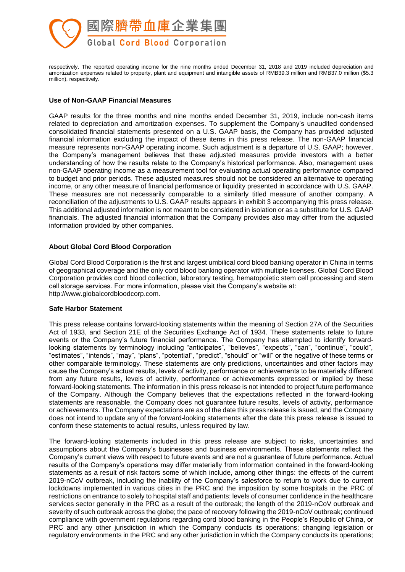

respectively. The reported operating income for the nine months ended December 31, 2018 and 2019 included depreciation and amortization expenses related to property, plant and equipment and intangible assets of RMB39.3 million and RMB37.0 million (\$5.3 million), respectively.

## **Use of Non-GAAP Financial Measures**

GAAP results for the three months and nine months ended December 31, 2019, include non-cash items related to depreciation and amortization expenses. To supplement the Company's unaudited condensed consolidated financial statements presented on a U.S. GAAP basis, the Company has provided adjusted financial information excluding the impact of these items in this press release. The non-GAAP financial measure represents non-GAAP operating income. Such adjustment is a departure of U.S. GAAP; however, the Company's management believes that these adjusted measures provide investors with a better understanding of how the results relate to the Company's historical performance. Also, management uses non-GAAP operating income as a measurement tool for evaluating actual operating performance compared to budget and prior periods. These adjusted measures should not be considered an alternative to operating income, or any other measure of financial performance or liquidity presented in accordance with U.S. GAAP. These measures are not necessarily comparable to a similarly titled measure of another company. A reconciliation of the adjustments to U.S. GAAP results appears in exhibit 3 accompanying this press release. This additional adjusted information is not meant to be considered in isolation or as a substitute for U.S. GAAP financials. The adjusted financial information that the Company provides also may differ from the adjusted information provided by other companies.

#### **About Global Cord Blood Corporation**

Global Cord Blood Corporation is the first and largest umbilical cord blood banking operator in China in terms of geographical coverage and the only cord blood banking operator with multiple licenses. Global Cord Blood Corporation provides cord blood collection, laboratory testing, hematopoietic stem cell processing and stem cell storage services. For more information, please visit the Company's website at: http://www.globalcordbloodcorp.com.

#### **Safe Harbor Statement**

This press release contains forward-looking statements within the meaning of Section 27A of the Securities Act of 1933, and Section 21E of the Securities Exchange Act of 1934. These statements relate to future events or the Company's future financial performance. The Company has attempted to identify forwardlooking statements by terminology including "anticipates", "believes", "expects", "can", "continue", "could", "estimates", "intends", "may", "plans", "potential", "predict", "should" or "will" or the negative of these terms or other comparable terminology. These statements are only predictions, uncertainties and other factors may cause the Company's actual results, levels of activity, performance or achievements to be materially different from any future results, levels of activity, performance or achievements expressed or implied by these forward-looking statements. The information in this press release is not intended to project future performance of the Company. Although the Company believes that the expectations reflected in the forward-looking statements are reasonable, the Company does not guarantee future results, levels of activity, performance or achievements. The Company expectations are as of the date this press release is issued, and the Company does not intend to update any of the forward-looking statements after the date this press release is issued to conform these statements to actual results, unless required by law.

The forward-looking statements included in this press release are subject to risks, uncertainties and assumptions about the Company's businesses and business environments. These statements reflect the Company's current views with respect to future events and are not a guarantee of future performance. Actual results of the Company's operations may differ materially from information contained in the forward-looking statements as a result of risk factors some of which include, among other things: the effects of the current 2019-nCoV outbreak, including the inability of the Company's salesforce to return to work due to current lockdowns implemented in various cities in the PRC and the imposition by some hospitals in the PRC of restrictions on entrance to solely to hospital staff and patients; levels of consumer confidence in the healthcare services sector generally in the PRC as a result of the outbreak; the length of the 2019-nCoV outbreak and severity of such outbreak across the globe; the pace of recovery following the 2019-nCoV outbreak; continued compliance with government regulations regarding cord blood banking in the People's Republic of China, or PRC and any other jurisdiction in which the Company conducts its operations; changing legislation or regulatory environments in the PRC and any other jurisdiction in which the Company conducts its operations;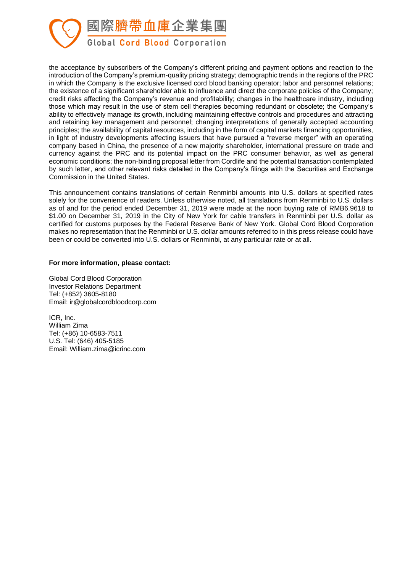

the acceptance by subscribers of the Company's different pricing and payment options and reaction to the introduction of the Company's premium-quality pricing strategy; demographic trends in the regions of the PRC in which the Company is the exclusive licensed cord blood banking operator; labor and personnel relations; the existence of a significant shareholder able to influence and direct the corporate policies of the Company; credit risks affecting the Company's revenue and profitability; changes in the healthcare industry, including those which may result in the use of stem cell therapies becoming redundant or obsolete; the Company's ability to effectively manage its growth, including maintaining effective controls and procedures and attracting and retaining key management and personnel; changing interpretations of generally accepted accounting principles; the availability of capital resources, including in the form of capital markets financing opportunities, in light of industry developments affecting issuers that have pursued a "reverse merger" with an operating company based in China, the presence of a new majority shareholder, international pressure on trade and currency against the PRC and its potential impact on the PRC consumer behavior, as well as general economic conditions; the non-binding proposal letter from Cordlife and the potential transaction contemplated by such letter, and other relevant risks detailed in the Company's filings with the Securities and Exchange Commission in the United States.

This announcement contains translations of certain Renminbi amounts into U.S. dollars at specified rates solely for the convenience of readers. Unless otherwise noted, all translations from Renminbi to U.S. dollars as of and for the period ended December 31, 2019 were made at the noon buying rate of RMB6.9618 to \$1.00 on December 31, 2019 in the City of New York for cable transfers in Renminbi per U.S. dollar as certified for customs purposes by the Federal Reserve Bank of New York. Global Cord Blood Corporation makes no representation that the Renminbi or U.S. dollar amounts referred to in this press release could have been or could be converted into U.S. dollars or Renminbi, at any particular rate or at all.

#### **For more information, please contact:**

Global Cord Blood Corporation Investor Relations Department Tel: (+852) 3605-8180 Email: ir@globalcordbloodcorp.com

ICR, Inc. William Zima Tel: (+86) 10-6583-7511 U.S. Tel: (646) 405-5185 Email: William.zima@icrinc.com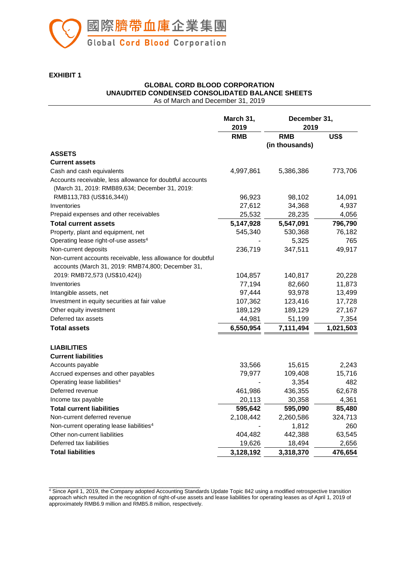

**EXHIBIT 1**

#### **GLOBAL CORD BLOOD CORPORATION UNAUDITED CONDENSED CONSOLIDATED BALANCE SHEETS** As of March and December 31, 2019

|                                                              | March 31,<br>2019 | December 31,<br>2019 |           |
|--------------------------------------------------------------|-------------------|----------------------|-----------|
|                                                              | <b>RMB</b>        | <b>RMB</b>           | US\$      |
|                                                              |                   | (in thousands)       |           |
| <b>ASSETS</b>                                                |                   |                      |           |
| <b>Current assets</b>                                        |                   |                      |           |
| Cash and cash equivalents                                    | 4,997,861         | 5,386,386            | 773,706   |
| Accounts receivable, less allowance for doubtful accounts    |                   |                      |           |
| (March 31, 2019: RMB89,634; December 31, 2019:               |                   |                      |           |
| RMB113,783 (US\$16,344))                                     | 96,923            | 98,102               | 14,091    |
| Inventories                                                  | 27,612            | 34,368               | 4,937     |
| Prepaid expenses and other receivables                       | 25,532            | 28,235               | 4,056     |
| <b>Total current assets</b>                                  | 5,147,928         | 5,547,091            | 796,790   |
| Property, plant and equipment, net                           | 545,340           | 530,368              | 76,182    |
| Operating lease right-of-use assets <sup>4</sup>             |                   | 5,325                | 765       |
| Non-current deposits                                         | 236,719           | 347,511              | 49,917    |
| Non-current accounts receivable, less allowance for doubtful |                   |                      |           |
| accounts (March 31, 2019: RMB74,800; December 31,            |                   |                      |           |
| 2019: RMB72,573 (US\$10,424))                                | 104,857           | 140,817              | 20,228    |
| Inventories                                                  | 77,194            | 82,660               | 11,873    |
| Intangible assets, net                                       | 97,444            | 93,978               | 13,499    |
| Investment in equity securities at fair value                | 107,362           | 123,416              | 17,728    |
| Other equity investment                                      | 189,129           | 189,129              | 27,167    |
| Deferred tax assets                                          | 44,981            | 51,199               | 7,354     |
| <b>Total assets</b>                                          | 6,550,954         | 7,111,494            | 1,021,503 |
| <b>LIABILITIES</b>                                           |                   |                      |           |
| <b>Current liabilities</b>                                   |                   |                      |           |
| Accounts payable                                             | 33,566            | 15,615               | 2,243     |
| Accrued expenses and other payables                          | 79,977            | 109,408              | 15,716    |
| Operating lease liabilities <sup>4</sup>                     |                   | 3,354                | 482       |
| Deferred revenue                                             | 461,986           | 436,355              | 62,678    |
| Income tax payable                                           | 20,113            | 30,358               | 4,361     |
| <b>Total current liabilities</b>                             | 595,642           | 595,090              | 85,480    |
| Non-current deferred revenue                                 | 2,108,442         | 2,260,586            | 324,713   |
| Non-current operating lease liabilities <sup>4</sup>         |                   | 1,812                | 260       |
| Other non-current liabilities                                | 404,482           | 442,388              | 63,545    |
| Deferred tax liabilities                                     | 19,626            | 18,494               | 2,656     |
| <b>Total liabilities</b>                                     | 3,128,192         | 3,318,370            | 476,654   |

<sup>4</sup> Since April 1, 2019, the Company adopted Accounting Standards Update Topic 842 using a modified retrospective transition approach which resulted in the recognition of right-of-use assets and lease liabilities for operating leases as of April 1, 2019 of approximately RMB6.9 million and RMB5.8 million, respectively.

\_\_\_\_\_\_\_\_\_\_\_\_\_\_\_\_\_\_\_\_\_\_\_\_\_\_\_\_\_\_\_\_\_\_\_\_\_\_\_\_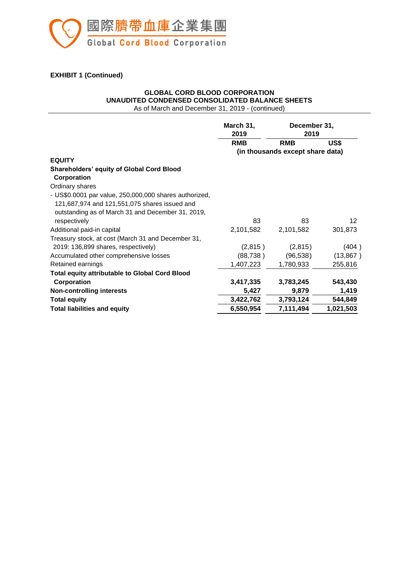

# **EXHIBIT 1 (Continued)**

# **GLOBAL CORD BLOOD CORPORATION UNAUDITED CONDENSED CONSOLIDATED BALANCE SHEETS**

As of March and December 31, 2019 - (continued)

|                                                        | March 31,<br>2019 | December 31,<br>2019             |           |  |
|--------------------------------------------------------|-------------------|----------------------------------|-----------|--|
|                                                        | <b>RMB</b>        | <b>RMB</b>                       | US\$      |  |
|                                                        |                   | (in thousands except share data) |           |  |
| <b>EQUITY</b>                                          |                   |                                  |           |  |
| <b>Shareholders' equity of Global Cord Blood</b>       |                   |                                  |           |  |
| Corporation                                            |                   |                                  |           |  |
| Ordinary shares                                        |                   |                                  |           |  |
| - US\$0.0001 par value, 250,000,000 shares authorized, |                   |                                  |           |  |
| 121,687,974 and 121,551,075 shares issued and          |                   |                                  |           |  |
| outstanding as of March 31 and December 31, 2019,      |                   |                                  |           |  |
| respectively                                           | 83                | 83                               | 12        |  |
| Additional paid-in capital                             | 2,101,582         | 2,101,582                        | 301,873   |  |
| Treasury stock, at cost (March 31 and December 31,     |                   |                                  |           |  |
| 2019: 136,899 shares, respectively)                    | (2,815)           | (2,815)                          | (404)     |  |
| Accumulated other comprehensive losses                 | (88, 738)         | (96, 538)                        | (13, 867) |  |
| Retained earnings                                      | 1,407,223         | 1,780,933                        | 255,816   |  |
| <b>Total equity attributable to Global Cord Blood</b>  |                   |                                  |           |  |
| Corporation                                            | 3,417,335         | 3,783,245                        | 543,430   |  |
| <b>Non-controlling interests</b>                       | 5,427             | 9,879                            | 1,419     |  |
| <b>Total equity</b>                                    | 3,422,762         | 3,793,124                        | 544,849   |  |
| <b>Total liabilities and equity</b>                    | 6,550,954         | 7,111,494                        | 1,021,503 |  |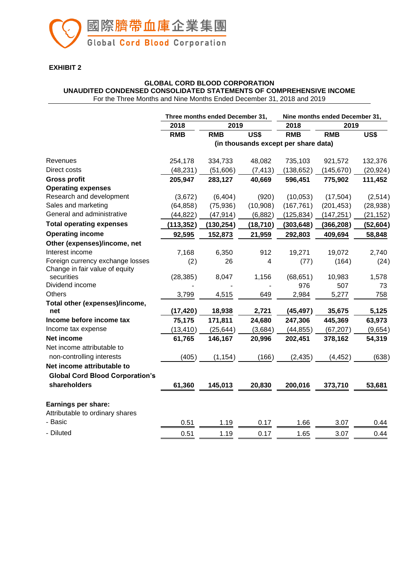

# **EXHIBIT 2**

#### **GLOBAL CORD BLOOD CORPORATION UNAUDITED CONDENSED CONSOLIDATED STATEMENTS OF COMPREHENSIVE INCOME**

For the Three Months and Nine Months Ended December 31, 2018 and 2019

|                                        | Three months ended December 31,      |            |           | Nine months ended December 31, |            |             |  |  |
|----------------------------------------|--------------------------------------|------------|-----------|--------------------------------|------------|-------------|--|--|
|                                        | 2018<br>2019                         |            |           | 2018<br>2019                   |            |             |  |  |
|                                        | <b>RMB</b>                           | <b>RMB</b> | US\$      | <b>RMB</b>                     | <b>RMB</b> | <b>US\$</b> |  |  |
|                                        | (in thousands except per share data) |            |           |                                |            |             |  |  |
| Revenues                               | 254,178                              | 334,733    | 48,082    | 735,103                        | 921,572    | 132,376     |  |  |
| Direct costs                           | (48, 231)                            | (51,606)   | (7, 413)  | (138, 652)                     | (145, 670) | (20, 924)   |  |  |
| <b>Gross profit</b>                    | 205,947                              | 283,127    | 40,669    | 596,451                        | 775,902    | 111,452     |  |  |
| <b>Operating expenses</b>              |                                      |            |           |                                |            |             |  |  |
| Research and development               | (3,672)                              | (6, 404)   | (920)     | (10,053)                       | (17, 504)  | (2,514)     |  |  |
| Sales and marketing                    | (64, 858)                            | (75, 936)  | (10,908)  | (167, 761)                     | (201, 453) | (28, 938)   |  |  |
| General and administrative             | (44, 822)                            | (47, 914)  | (6,882)   | (125, 834)                     | (147, 251) | (21, 152)   |  |  |
| <b>Total operating expenses</b>        | (113, 352)                           | (130, 254) | (18, 710) | (303, 648)                     | (366, 208) | (52, 604)   |  |  |
| <b>Operating income</b>                | 92,595                               | 152,873    | 21,959    | 292,803                        | 409,694    | 58,848      |  |  |
| Other (expenses)/income, net           |                                      |            |           |                                |            |             |  |  |
| Interest income                        | 7,168                                | 6,350      | 912       | 19,271                         | 19,072     | 2,740       |  |  |
| Foreign currency exchange losses       | (2)                                  | 26         | 4         | (77)                           | (164)      | (24)        |  |  |
| Change in fair value of equity         |                                      |            |           |                                |            |             |  |  |
| securities                             | (28, 385)                            | 8,047      | 1,156     | (68, 651)                      | 10,983     | 1,578       |  |  |
| Dividend income                        |                                      |            |           | 976                            | 507        | 73          |  |  |
| <b>Others</b>                          | 3,799                                | 4,515      | 649       | 2,984                          | 5,277      | 758         |  |  |
| Total other (expenses)/income,         |                                      |            |           |                                |            |             |  |  |
| net                                    | (17, 420)                            | 18,938     | 2,721     | (45, 497)                      | 35,675     | 5,125       |  |  |
| Income before income tax               | 75,175                               | 171,811    | 24,680    | 247,306                        | 445,369    | 63,973      |  |  |
| Income tax expense                     | (13, 410)                            | (25, 644)  | (3,684)   | (44, 855)                      | (67, 207)  | (9,654)     |  |  |
| Net income                             | 61,765                               | 146,167    | 20,996    | 202,451                        | 378,162    | 54,319      |  |  |
| Net income attributable to             |                                      |            |           |                                |            |             |  |  |
| non-controlling interests              | (405)                                | (1, 154)   | (166)     | (2, 435)                       | (4, 452)   | (638)       |  |  |
| Net income attributable to             |                                      |            |           |                                |            |             |  |  |
| <b>Global Cord Blood Corporation's</b> |                                      |            |           |                                |            |             |  |  |
| shareholders                           | 61,360                               | 145,013    | 20,830    | 200,016                        | 373,710    | 53,681      |  |  |
|                                        |                                      |            |           |                                |            |             |  |  |
| Earnings per share:                    |                                      |            |           |                                |            |             |  |  |
| Attributable to ordinary shares        |                                      |            |           |                                |            |             |  |  |
| - Basic                                | 0.51                                 | 1.19       | 0.17      | 1.66                           | 3.07       | 0.44        |  |  |
| - Diluted                              | 0.51                                 | 1.19       | 0.17      | 1.65                           | 3.07       | 0.44        |  |  |
|                                        |                                      |            |           |                                |            |             |  |  |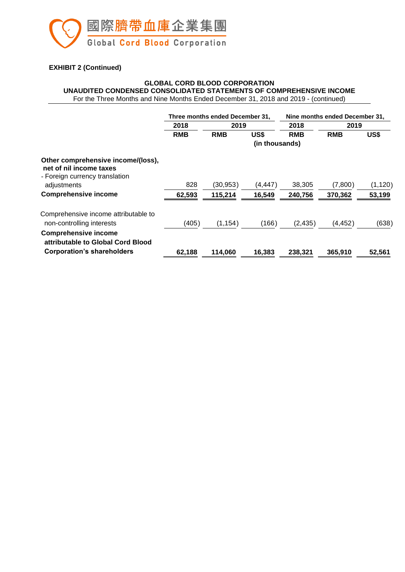

# **EXHIBIT 2 (Continued)**

# **GLOBAL CORD BLOOD CORPORATION**

# **UNAUDITED CONDENSED CONSOLIDATED STATEMENTS OF COMPREHENSIVE INCOME**

For the Three Months and Nine Months Ended December 31, 2018 and 2019 - (continued)

|                                                                                                 | Three months ended December 31. |            |                        | Nine months ended December 31. |            |          |
|-------------------------------------------------------------------------------------------------|---------------------------------|------------|------------------------|--------------------------------|------------|----------|
|                                                                                                 | 2018                            | 2019       |                        | 2018                           | 2019       |          |
|                                                                                                 | <b>RMB</b>                      | <b>RMB</b> | US\$<br>(in thousands) | <b>RMB</b>                     | <b>RMB</b> | US\$     |
| Other comprehensive income/(loss),<br>net of nil income taxes<br>- Foreign currency translation |                                 |            |                        |                                |            |          |
| adjustments                                                                                     | 828                             | (30, 953)  | (4, 447)               | 38,305                         | (7,800)    | (1, 120) |
| <b>Comprehensive income</b>                                                                     | 62,593                          | 115,214    | 16,549                 | 240,756                        | 370,362    | 53,199   |
| Comprehensive income attributable to                                                            |                                 |            |                        |                                |            |          |
| non-controlling interests                                                                       | (405)                           | (1, 154)   | (166)                  | (2, 435)                       | (4, 452)   | (638)    |
| <b>Comprehensive income</b><br>attributable to Global Cord Blood                                |                                 |            |                        |                                |            |          |
| <b>Corporation's shareholders</b>                                                               | 62,188                          | 114,060    | 16,383                 | 238,321                        | 365,910    | 52,561   |